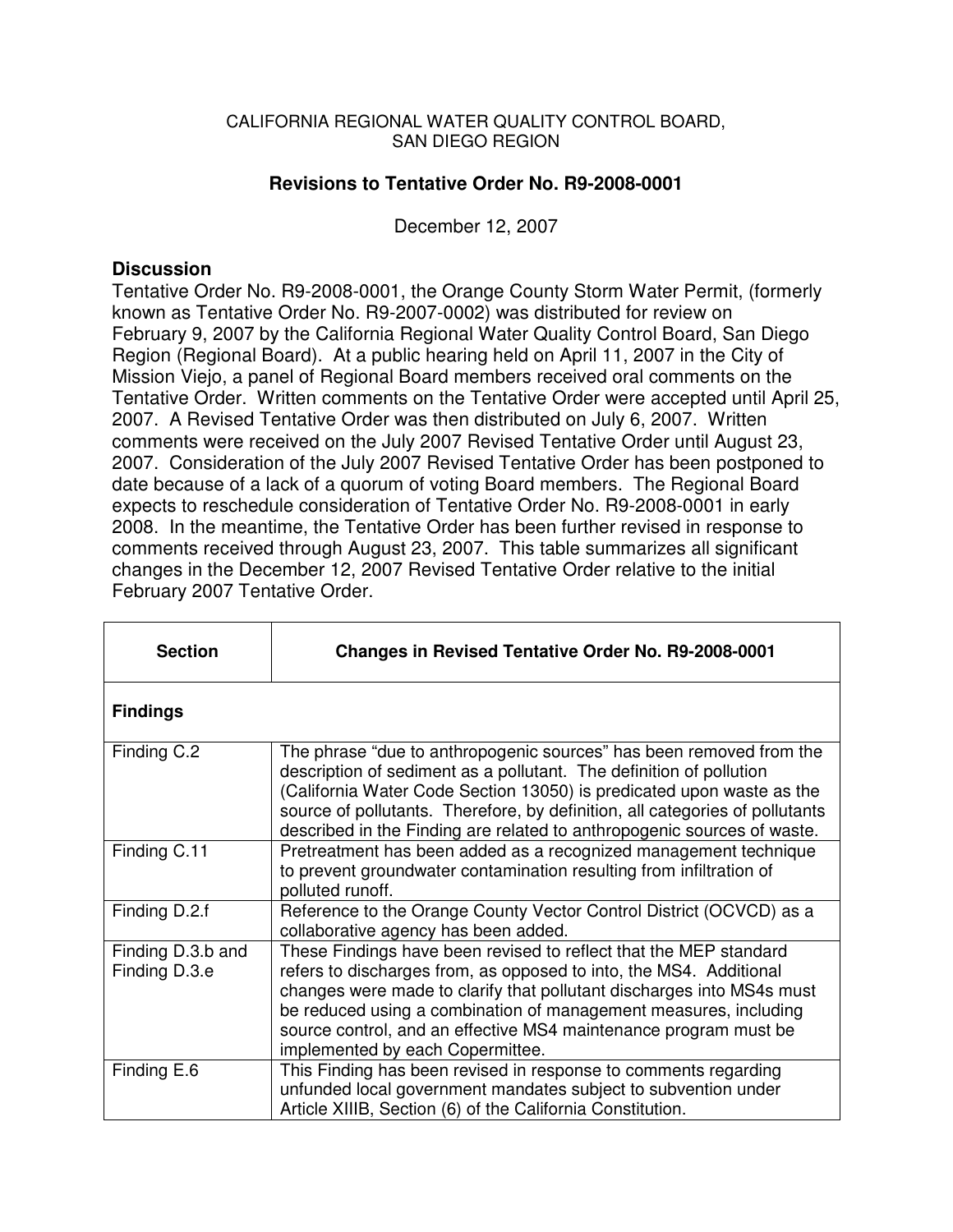#### CALIFORNIA REGIONAL WATER QUALITY CONTROL BOARD, SAN DIEGO REGION

## **Revisions to Tentative Order No. R9-2008-0001**

December 12, 2007

#### **Discussion**

Tentative Order No. R9-2008-0001, the Orange County Storm Water Permit, (formerly known as Tentative Order No. R9-2007-0002) was distributed for review on February 9, 2007 by the California Regional Water Quality Control Board, San Diego Region (Regional Board). At a public hearing held on April 11, 2007 in the City of Mission Viejo, a panel of Regional Board members received oral comments on the Tentative Order. Written comments on the Tentative Order were accepted until April 25, 2007. A Revised Tentative Order was then distributed on July 6, 2007. Written comments were received on the July 2007 Revised Tentative Order until August 23, 2007. Consideration of the July 2007 Revised Tentative Order has been postponed to date because of a lack of a quorum of voting Board members. The Regional Board expects to reschedule consideration of Tentative Order No. R9-2008-0001 in early 2008. In the meantime, the Tentative Order has been further revised in response to comments received through August 23, 2007. This table summarizes all significant changes in the December 12, 2007 Revised Tentative Order relative to the initial February 2007 Tentative Order.

| <b>Section</b>                     | Changes in Revised Tentative Order No. R9-2008-0001                                                                                                                                                                                                                                                                                                                                          |
|------------------------------------|----------------------------------------------------------------------------------------------------------------------------------------------------------------------------------------------------------------------------------------------------------------------------------------------------------------------------------------------------------------------------------------------|
| <b>Findings</b>                    |                                                                                                                                                                                                                                                                                                                                                                                              |
| Finding C.2                        | The phrase "due to anthropogenic sources" has been removed from the<br>description of sediment as a pollutant. The definition of pollution<br>(California Water Code Section 13050) is predicated upon waste as the<br>source of pollutants. Therefore, by definition, all categories of pollutants<br>described in the Finding are related to anthropogenic sources of waste.               |
| Finding C.11                       | Pretreatment has been added as a recognized management technique<br>to prevent groundwater contamination resulting from infiltration of<br>polluted runoff.                                                                                                                                                                                                                                  |
| Finding D.2.f                      | Reference to the Orange County Vector Control District (OCVCD) as a<br>collaborative agency has been added.                                                                                                                                                                                                                                                                                  |
| Finding D.3.b and<br>Finding D.3.e | These Findings have been revised to reflect that the MEP standard<br>refers to discharges from, as opposed to into, the MS4. Additional<br>changes were made to clarify that pollutant discharges into MS4s must<br>be reduced using a combination of management measures, including<br>source control, and an effective MS4 maintenance program must be<br>implemented by each Copermittee. |
| Finding E.6                        | This Finding has been revised in response to comments regarding<br>unfunded local government mandates subject to subvention under<br>Article XIIIB, Section (6) of the California Constitution.                                                                                                                                                                                              |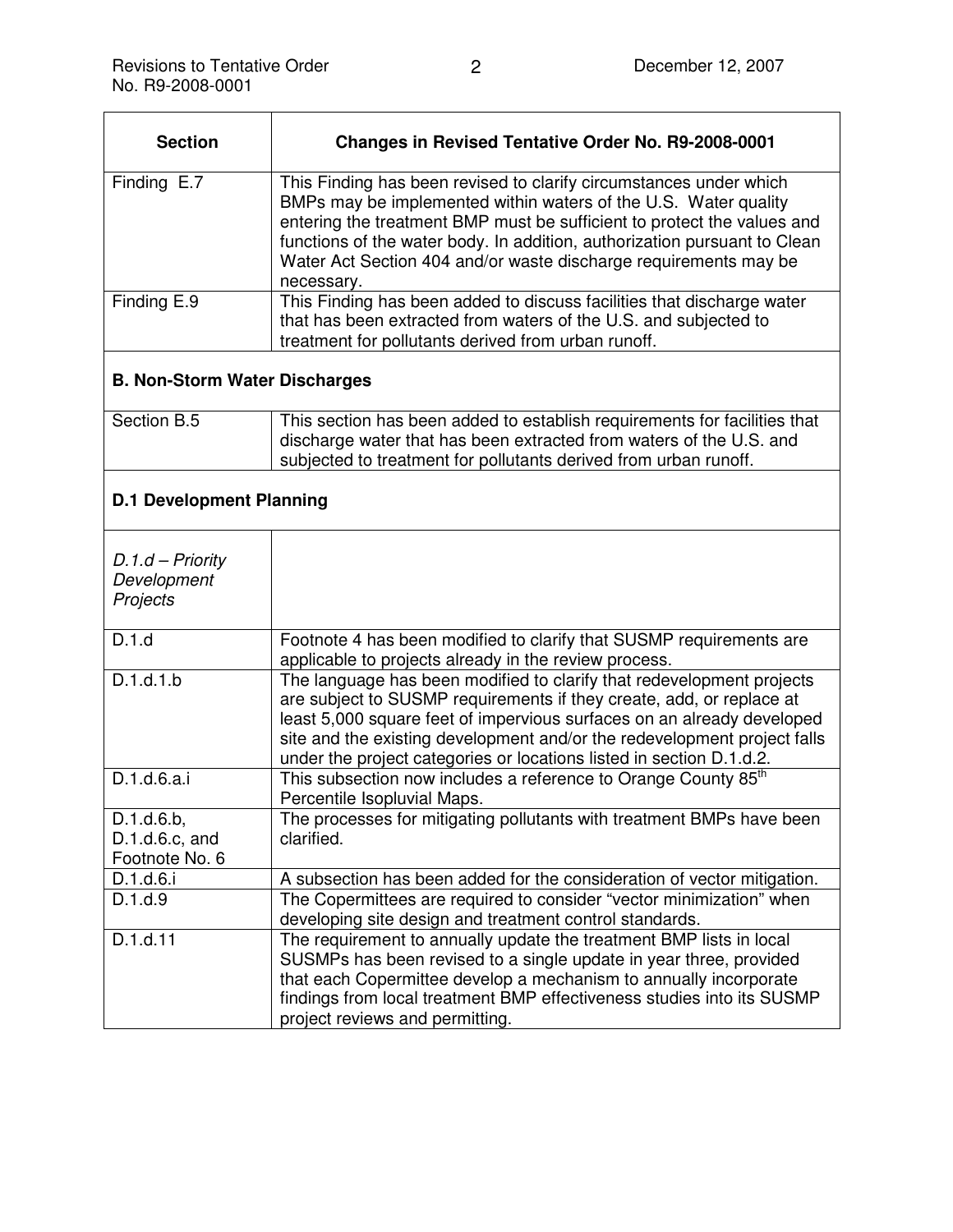| <b>Section</b>                                 | <b>Changes in Revised Tentative Order No. R9-2008-0001</b>                                                                                                                                                                                                                                                                                                                      |
|------------------------------------------------|---------------------------------------------------------------------------------------------------------------------------------------------------------------------------------------------------------------------------------------------------------------------------------------------------------------------------------------------------------------------------------|
| Finding E.7                                    | This Finding has been revised to clarify circumstances under which<br>BMPs may be implemented within waters of the U.S. Water quality<br>entering the treatment BMP must be sufficient to protect the values and<br>functions of the water body. In addition, authorization pursuant to Clean<br>Water Act Section 404 and/or waste discharge requirements may be<br>necessary. |
| Finding E.9                                    | This Finding has been added to discuss facilities that discharge water<br>that has been extracted from waters of the U.S. and subjected to<br>treatment for pollutants derived from urban runoff.                                                                                                                                                                               |
| <b>B. Non-Storm Water Discharges</b>           |                                                                                                                                                                                                                                                                                                                                                                                 |
| Section B.5                                    | This section has been added to establish requirements for facilities that<br>discharge water that has been extracted from waters of the U.S. and<br>subjected to treatment for pollutants derived from urban runoff.                                                                                                                                                            |
| <b>D.1 Development Planning</b>                |                                                                                                                                                                                                                                                                                                                                                                                 |
| $D.1.d - Priority$<br>Development<br>Projects  |                                                                                                                                                                                                                                                                                                                                                                                 |
| D.1.d                                          | Footnote 4 has been modified to clarify that SUSMP requirements are<br>applicable to projects already in the review process.                                                                                                                                                                                                                                                    |
| D.1.d.1.b                                      | The language has been modified to clarify that redevelopment projects<br>are subject to SUSMP requirements if they create, add, or replace at<br>least 5,000 square feet of impervious surfaces on an already developed<br>site and the existing development and/or the redevelopment project falls<br>under the project categories or locations listed in section D.1.d.2.     |
| D.1.d.6.a.i                                    | This subsection now includes a reference to Orange County 85 <sup>th</sup><br>Percentile Isopluvial Maps.                                                                                                                                                                                                                                                                       |
| D.1.d.6.b,<br>D.1.d.6.c, and<br>Footnote No. 6 | The processes for mitigating pollutants with treatment BMPs have been<br>clarified.                                                                                                                                                                                                                                                                                             |
| D.1.d.6.i                                      | A subsection has been added for the consideration of vector mitigation.                                                                                                                                                                                                                                                                                                         |
| D.1.d.9                                        | The Copermittees are required to consider "vector minimization" when<br>developing site design and treatment control standards.                                                                                                                                                                                                                                                 |
| D.1.d.11                                       | The requirement to annually update the treatment BMP lists in local<br>SUSMPs has been revised to a single update in year three, provided<br>that each Copermittee develop a mechanism to annually incorporate<br>findings from local treatment BMP effectiveness studies into its SUSMP<br>project reviews and permitting.                                                     |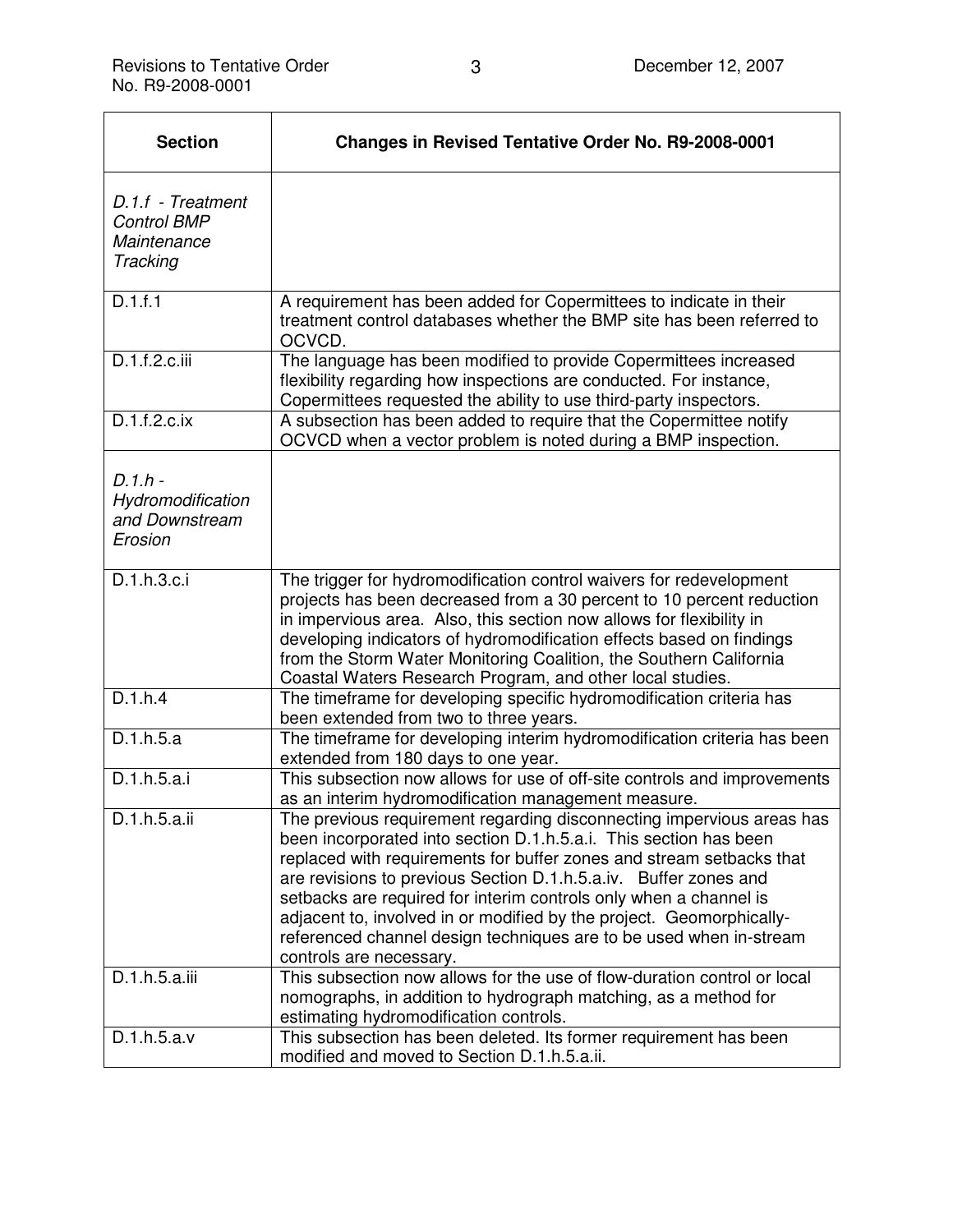| <b>Section</b>                                                     | <b>Changes in Revised Tentative Order No. R9-2008-0001</b>                                                                                                                                                                                                                                                                                                                                                                                                                                                                           |
|--------------------------------------------------------------------|--------------------------------------------------------------------------------------------------------------------------------------------------------------------------------------------------------------------------------------------------------------------------------------------------------------------------------------------------------------------------------------------------------------------------------------------------------------------------------------------------------------------------------------|
| D.1.f - Treatment<br><b>Control BMP</b><br>Maintenance<br>Tracking |                                                                                                                                                                                                                                                                                                                                                                                                                                                                                                                                      |
| D.1.f.1                                                            | A requirement has been added for Copermittees to indicate in their<br>treatment control databases whether the BMP site has been referred to<br>OCVCD.                                                                                                                                                                                                                                                                                                                                                                                |
| D.1.f.2.c.iii                                                      | The language has been modified to provide Copermittees increased<br>flexibility regarding how inspections are conducted. For instance,<br>Copermittees requested the ability to use third-party inspectors.                                                                                                                                                                                                                                                                                                                          |
| D.1.f.2.c.ix                                                       | A subsection has been added to require that the Copermittee notify<br>OCVCD when a vector problem is noted during a BMP inspection.                                                                                                                                                                                                                                                                                                                                                                                                  |
| $D.1.h -$<br>Hydromodification<br>and Downstream<br>Erosion        |                                                                                                                                                                                                                                                                                                                                                                                                                                                                                                                                      |
| D.1.h.3.c.i                                                        | The trigger for hydromodification control waivers for redevelopment<br>projects has been decreased from a 30 percent to 10 percent reduction<br>in impervious area. Also, this section now allows for flexibility in<br>developing indicators of hydromodification effects based on findings<br>from the Storm Water Monitoring Coalition, the Southern California<br>Coastal Waters Research Program, and other local studies.                                                                                                      |
| D.1.h.4                                                            | The timeframe for developing specific hydromodification criteria has<br>been extended from two to three years.                                                                                                                                                                                                                                                                                                                                                                                                                       |
| D.1.h.5.a                                                          | The timeframe for developing interim hydromodification criteria has been<br>extended from 180 days to one year.                                                                                                                                                                                                                                                                                                                                                                                                                      |
| D.1.h.5.a.i                                                        | This subsection now allows for use of off-site controls and improvements<br>as an interim hydromodification management measure.                                                                                                                                                                                                                                                                                                                                                                                                      |
| D.1.h.5.a.ii                                                       | The previous requirement regarding disconnecting impervious areas has<br>been incorporated into section D.1.h.5.a.i. This section has been<br>replaced with requirements for buffer zones and stream setbacks that<br>are revisions to previous Section D.1.h.5.a.iv. Buffer zones and<br>setbacks are required for interim controls only when a channel is<br>adjacent to, involved in or modified by the project. Geomorphically-<br>referenced channel design techniques are to be used when in-stream<br>controls are necessary. |
| D.1.h.5.a.iii                                                      | This subsection now allows for the use of flow-duration control or local<br>nomographs, in addition to hydrograph matching, as a method for<br>estimating hydromodification controls.                                                                                                                                                                                                                                                                                                                                                |
| D.1.h.5.a.v                                                        | This subsection has been deleted. Its former requirement has been<br>modified and moved to Section D.1.h.5.a.ii.                                                                                                                                                                                                                                                                                                                                                                                                                     |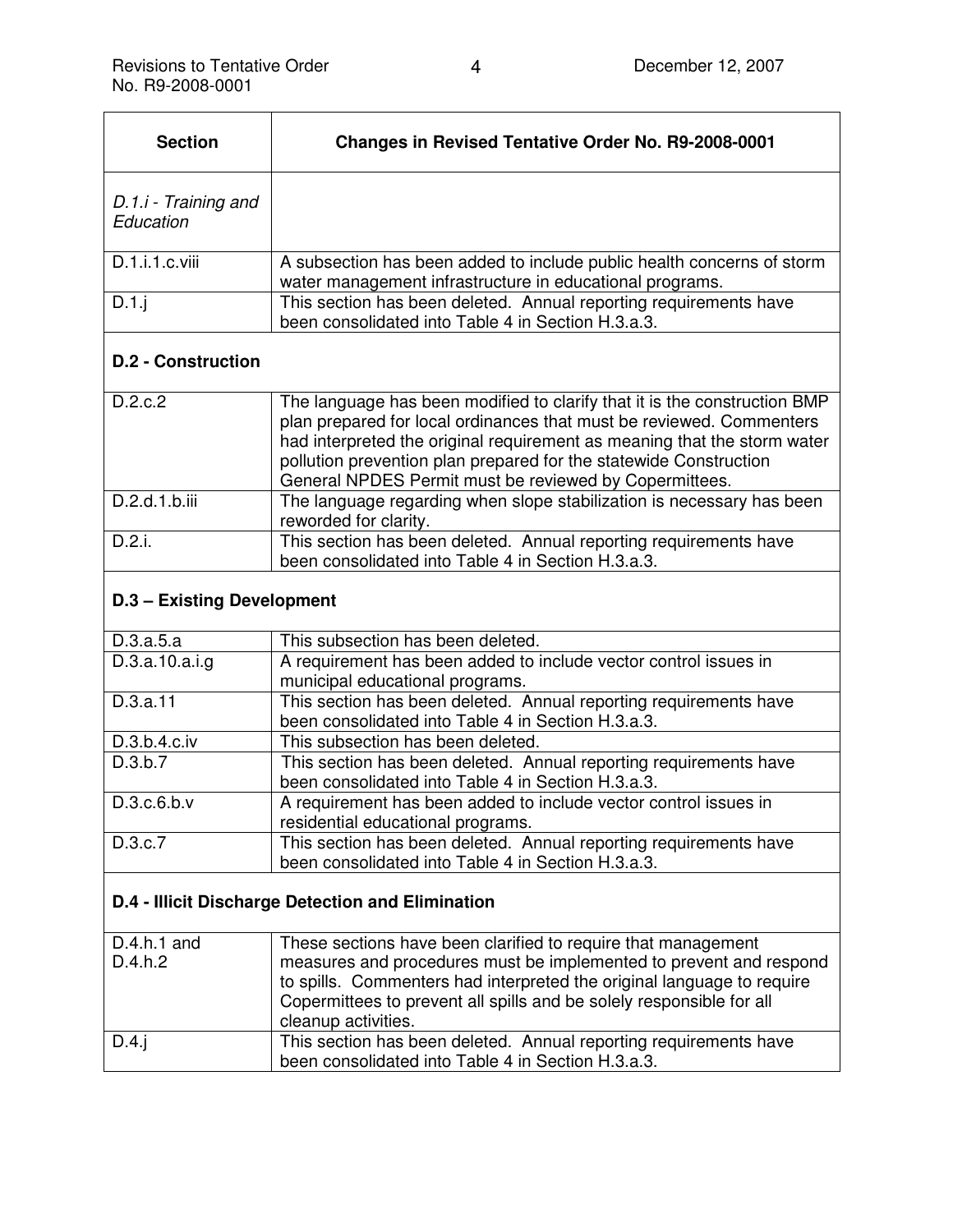| <b>Section</b>                    | <b>Changes in Revised Tentative Order No. R9-2008-0001</b>                                                                         |
|-----------------------------------|------------------------------------------------------------------------------------------------------------------------------------|
| D.1.i - Training and<br>Education |                                                                                                                                    |
| D.1.i.1.c.viii                    | A subsection has been added to include public health concerns of storm<br>water management infrastructure in educational programs. |
| D.1.i                             | This section has been deleted. Annual reporting requirements have<br>been consolidated into Table 4 in Section H.3.a.3.            |

## **D.2 - Construction**

| D.2.c.2       | The language has been modified to clarify that it is the construction BMP<br>plan prepared for local ordinances that must be reviewed. Commenters<br>had interpreted the original requirement as meaning that the storm water<br>pollution prevention plan prepared for the statewide Construction<br>General NPDES Permit must be reviewed by Copermittees. |
|---------------|--------------------------------------------------------------------------------------------------------------------------------------------------------------------------------------------------------------------------------------------------------------------------------------------------------------------------------------------------------------|
| D.2.d.1.b.iii | The language regarding when slope stabilization is necessary has been<br>reworded for clarity.                                                                                                                                                                                                                                                               |
| D.2.i.        | This section has been deleted. Annual reporting requirements have<br>been consolidated into Table 4 in Section H.3.a.3.                                                                                                                                                                                                                                      |

#### **D.3 – Existing Development**

| D.3.a.5.a       | This subsection has been deleted.                                 |
|-----------------|-------------------------------------------------------------------|
| D.3.a.10.a.i.g. | A requirement has been added to include vector control issues in  |
|                 | municipal educational programs.                                   |
| D.3.a.11        | This section has been deleted. Annual reporting requirements have |
|                 | been consolidated into Table 4 in Section H.3.a.3.                |
| D.3.b.4.c.iv    | This subsection has been deleted.                                 |
| D.3.b.7         | This section has been deleted. Annual reporting requirements have |
|                 | been consolidated into Table 4 in Section H.3.a.3.                |
| D.3.c.6.b.v     | A requirement has been added to include vector control issues in  |
|                 | residential educational programs.                                 |
| D.3.c.7         | This section has been deleted. Annual reporting requirements have |
|                 | been consolidated into Table 4 in Section H.3.a.3.                |

# **D.4 - Illicit Discharge Detection and Elimination**

| $D.4.h.1$ and<br>D.4.h.2 | These sections have been clarified to require that management<br>measures and procedures must be implemented to prevent and respond<br>to spills. Commenters had interpreted the original language to require<br>Copermittees to prevent all spills and be solely responsible for all<br>cleanup activities. |
|--------------------------|--------------------------------------------------------------------------------------------------------------------------------------------------------------------------------------------------------------------------------------------------------------------------------------------------------------|
| D.4.i                    | This section has been deleted. Annual reporting requirements have<br>been consolidated into Table 4 in Section H.3.a.3.                                                                                                                                                                                      |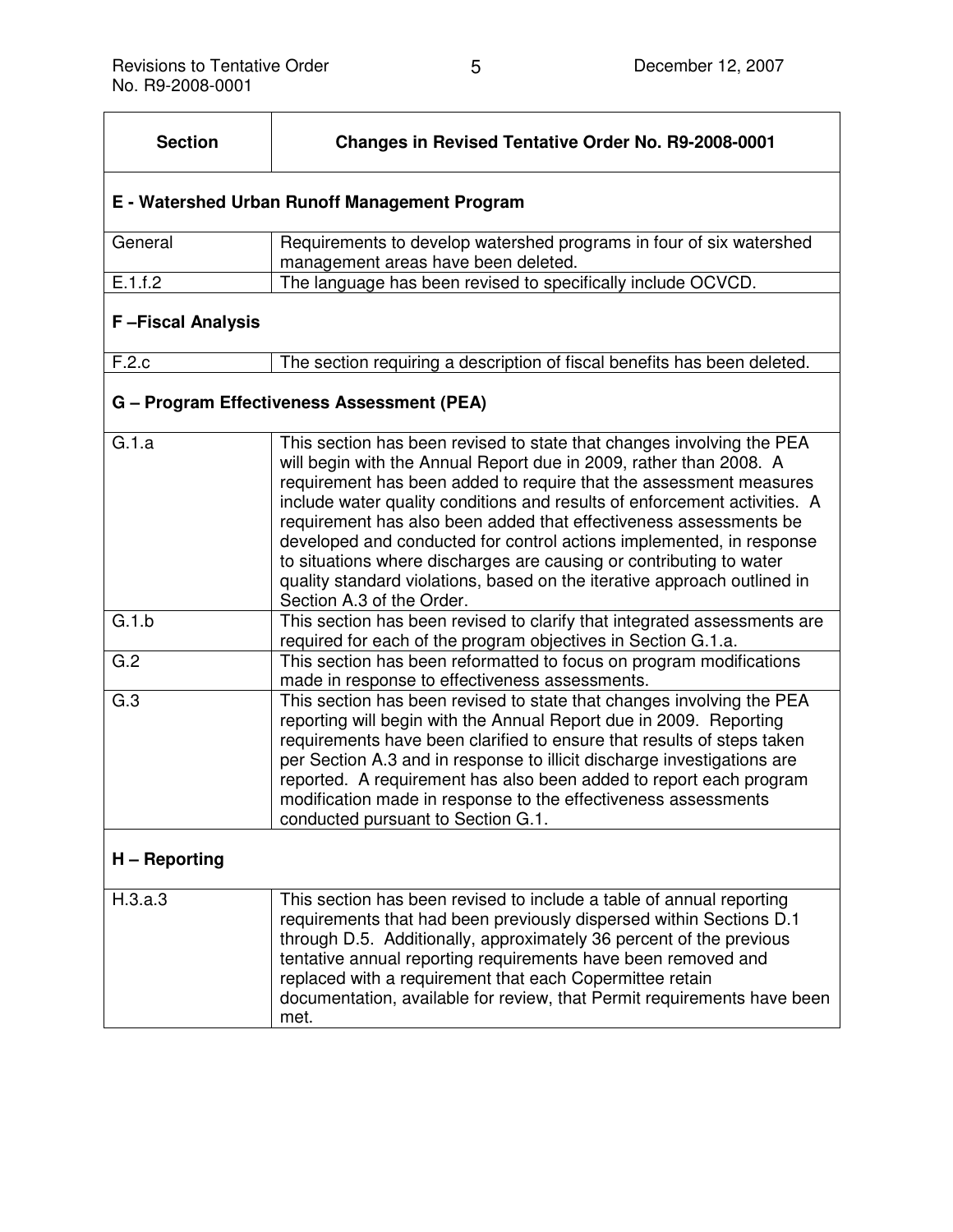| <b>Section</b>                                | <b>Changes in Revised Tentative Order No. R9-2008-0001</b>                                                                                                                                                                                                                                                                                                                                                                                                                                                                                                                                                                  |
|-----------------------------------------------|-----------------------------------------------------------------------------------------------------------------------------------------------------------------------------------------------------------------------------------------------------------------------------------------------------------------------------------------------------------------------------------------------------------------------------------------------------------------------------------------------------------------------------------------------------------------------------------------------------------------------------|
| E - Watershed Urban Runoff Management Program |                                                                                                                                                                                                                                                                                                                                                                                                                                                                                                                                                                                                                             |
| General                                       | Requirements to develop watershed programs in four of six watershed<br>management areas have been deleted.                                                                                                                                                                                                                                                                                                                                                                                                                                                                                                                  |
| E.1.f.2                                       | The language has been revised to specifically include OCVCD.                                                                                                                                                                                                                                                                                                                                                                                                                                                                                                                                                                |
| <b>F-Fiscal Analysis</b>                      |                                                                                                                                                                                                                                                                                                                                                                                                                                                                                                                                                                                                                             |
| F.2.c                                         | The section requiring a description of fiscal benefits has been deleted.                                                                                                                                                                                                                                                                                                                                                                                                                                                                                                                                                    |
|                                               | G - Program Effectiveness Assessment (PEA)                                                                                                                                                                                                                                                                                                                                                                                                                                                                                                                                                                                  |
| G.1.a                                         | This section has been revised to state that changes involving the PEA<br>will begin with the Annual Report due in 2009, rather than 2008. A<br>requirement has been added to require that the assessment measures<br>include water quality conditions and results of enforcement activities. A<br>requirement has also been added that effectiveness assessments be<br>developed and conducted for control actions implemented, in response<br>to situations where discharges are causing or contributing to water<br>quality standard violations, based on the iterative approach outlined in<br>Section A.3 of the Order. |
| G.1.b                                         | This section has been revised to clarify that integrated assessments are<br>required for each of the program objectives in Section G.1.a.                                                                                                                                                                                                                                                                                                                                                                                                                                                                                   |
| $\overline{G.2}$                              | This section has been reformatted to focus on program modifications<br>made in response to effectiveness assessments.                                                                                                                                                                                                                                                                                                                                                                                                                                                                                                       |
| G.3                                           | This section has been revised to state that changes involving the PEA<br>reporting will begin with the Annual Report due in 2009. Reporting<br>requirements have been clarified to ensure that results of steps taken<br>per Section A.3 and in response to illicit discharge investigations are<br>reported. A requirement has also been added to report each program<br>modification made in response to the effectiveness assessments<br>conducted pursuant to Section G.1.                                                                                                                                              |
| H - Reporting                                 |                                                                                                                                                                                                                                                                                                                                                                                                                                                                                                                                                                                                                             |
| H.3.a.3                                       | This section has been revised to include a table of annual reporting<br>requirements that had been previously dispersed within Sections D.1<br>through D.5. Additionally, approximately 36 percent of the previous<br>tentative annual reporting requirements have been removed and<br>replaced with a requirement that each Copermittee retain<br>documentation, available for review, that Permit requirements have been<br>met.                                                                                                                                                                                          |